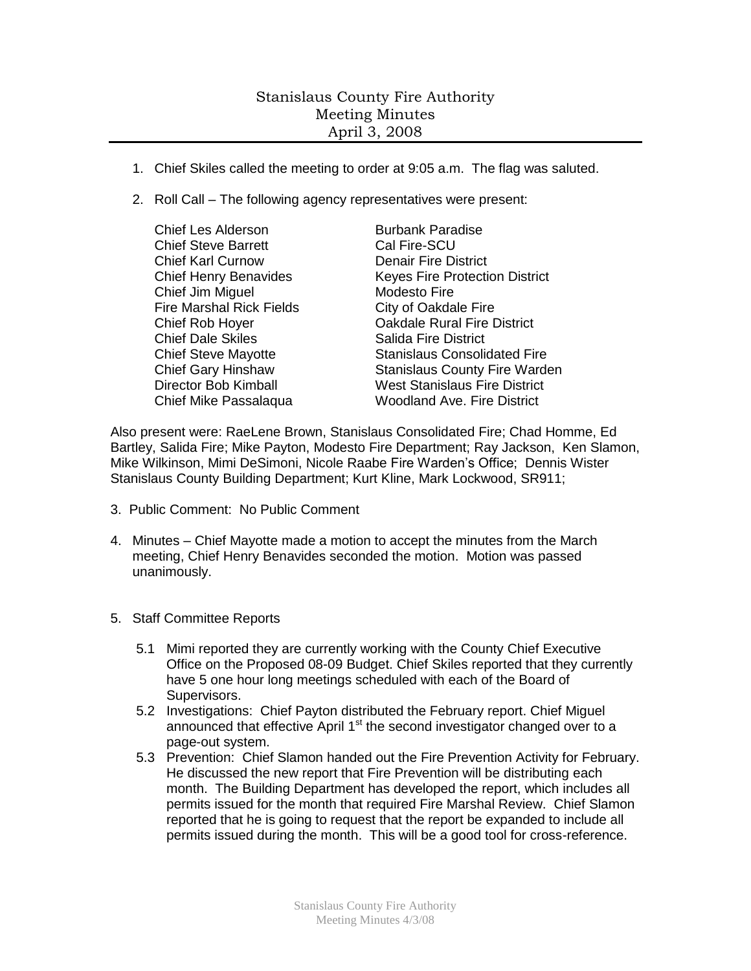## Stanislaus County Fire Authority Meeting Minutes April 3, 2008

- 1. Chief Skiles called the meeting to order at 9:05 a.m. The flag was saluted.
- 2. Roll Call The following agency representatives were present:
	- Chief Les Alderson Burbank Paradise Chief Steve Barrett Cal Fire-SCU Chief Karl Curnow Denair Fire District Chief Jim Miguel **Modesto Fire** Fire Marshal Rick Fields City of Oakdale Fire **Chief Dale Skiles Salida Fire District**

Chief Henry Benavides Keyes Fire Protection District Chief Rob Hoyer Oakdale Rural Fire District Chief Steve Mayotte Stanislaus Consolidated Fire Chief Gary Hinshaw Stanislaus County Fire Warden Director Bob Kimball West Stanislaus Fire District Chief Mike Passalaqua Woodland Ave. Fire District

Also present were: RaeLene Brown, Stanislaus Consolidated Fire; Chad Homme, Ed Bartley, Salida Fire; Mike Payton, Modesto Fire Department; Ray Jackson, Ken Slamon, Mike Wilkinson, Mimi DeSimoni, Nicole Raabe Fire Warden's Office; Dennis Wister Stanislaus County Building Department; Kurt Kline, Mark Lockwood, SR911;

- 3. Public Comment: No Public Comment
- 4. Minutes Chief Mayotte made a motion to accept the minutes from the March meeting, Chief Henry Benavides seconded the motion. Motion was passed unanimously.
- 5. Staff Committee Reports
	- 5.1 Mimi reported they are currently working with the County Chief Executive Office on the Proposed 08-09 Budget. Chief Skiles reported that they currently have 5 one hour long meetings scheduled with each of the Board of Supervisors.
	- 5.2 Investigations: Chief Payton distributed the February report. Chief Miguel announced that effective April  $1<sup>st</sup>$  the second investigator changed over to a page-out system.
	- 5.3 Prevention: Chief Slamon handed out the Fire Prevention Activity for February. He discussed the new report that Fire Prevention will be distributing each month. The Building Department has developed the report, which includes all permits issued for the month that required Fire Marshal Review. Chief Slamon reported that he is going to request that the report be expanded to include all permits issued during the month. This will be a good tool for cross-reference.